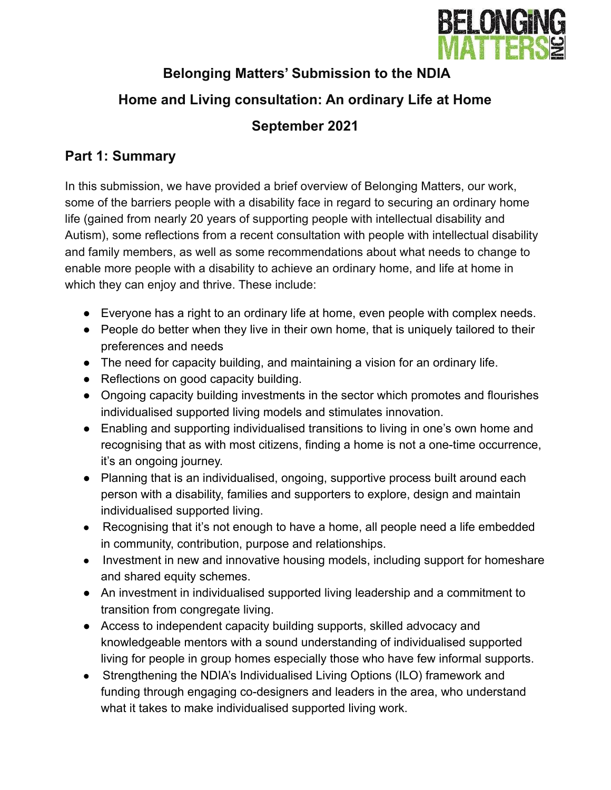

# **Belonging Matters' Submission to the NDIA**

# **Home and Living consultation: An ordinary Life at Home**

# **September 2021**

## **Part 1: Summary**

In this submission, we have provided a brief overview of Belonging Matters, our work, some of the barriers people with a disability face in regard to securing an ordinary home life (gained from nearly 20 years of supporting people with intellectual disability and Autism), some reflections from a recent consultation with people with intellectual disability and family members, as well as some recommendations about what needs to change to enable more people with a disability to achieve an ordinary home, and life at home in which they can enjoy and thrive. These include:

- Everyone has a right to an ordinary life at home, even people with complex needs.
- People do better when they live in their own home, that is uniquely tailored to their preferences and needs
- The need for capacity building, and maintaining a vision for an ordinary life.
- Reflections on good capacity building.
- Ongoing capacity building investments in the sector which promotes and flourishes individualised supported living models and stimulates innovation.
- Enabling and supporting individualised transitions to living in one's own home and recognising that as with most citizens, finding a home is not a one-time occurrence, it's an ongoing journey.
- Planning that is an individualised, ongoing, supportive process built around each person with a disability, families and supporters to explore, design and maintain individualised supported living.
- Recognising that it's not enough to have a home, all people need a life embedded in community, contribution, purpose and relationships.
- Investment in new and innovative housing models, including support for homeshare and shared equity schemes.
- An investment in individualised supported living leadership and a commitment to transition from congregate living.
- Access to independent capacity building supports, skilled advocacy and knowledgeable mentors with a sound understanding of individualised supported living for people in group homes especially those who have few informal supports.
- Strengthening the NDIA's Individualised Living Options (ILO) framework and funding through engaging co-designers and leaders in the area, who understand what it takes to make individualised supported living work.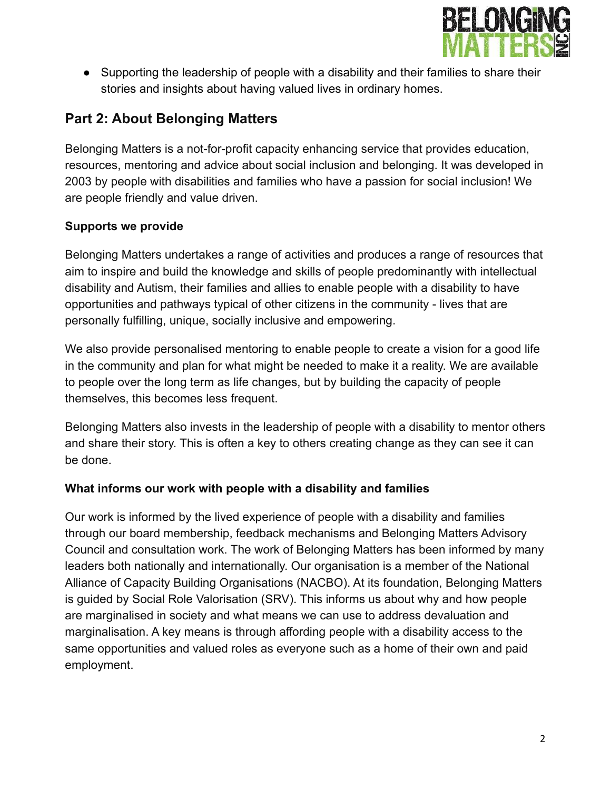

● Supporting the leadership of people with a disability and their families to share their stories and insights about having valued lives in ordinary homes.

## **Part 2: About Belonging Matters**

Belonging Matters is a not-for-profit capacity enhancing service that provides education, resources, mentoring and advice about social inclusion and belonging. It was developed in 2003 by people with disabilities and families who have a passion for social inclusion! We are people friendly and value driven.

### **Supports we provide**

Belonging Matters undertakes a range of activities and produces a range of resources that aim to inspire and build the knowledge and skills of people predominantly with intellectual disability and Autism, their families and allies to enable people with a disability to have opportunities and pathways typical of other citizens in the community - lives that are personally fulfilling, unique, socially inclusive and empowering.

We also provide personalised mentoring to enable people to create a vision for a good life in the community and plan for what might be needed to make it a reality. We are available to people over the long term as life changes, but by building the capacity of people themselves, this becomes less frequent.

Belonging Matters also invests in the leadership of people with a disability to mentor others and share their story. This is often a key to others creating change as they can see it can be done.

### **What informs our work with people with a disability and families**

Our work is informed by the lived experience of people with a disability and families through our board membership, feedback mechanisms and Belonging Matters Advisory Council and consultation work. The work of Belonging Matters has been informed by many leaders both nationally and internationally. Our organisation is a member of the National Alliance of Capacity Building Organisations (NACBO). At its foundation, Belonging Matters is guided by Social Role Valorisation (SRV). This informs us about why and how people are marginalised in society and what means we can use to address devaluation and marginalisation. A key means is through affording people with a disability access to the same opportunities and valued roles as everyone such as a home of their own and paid employment.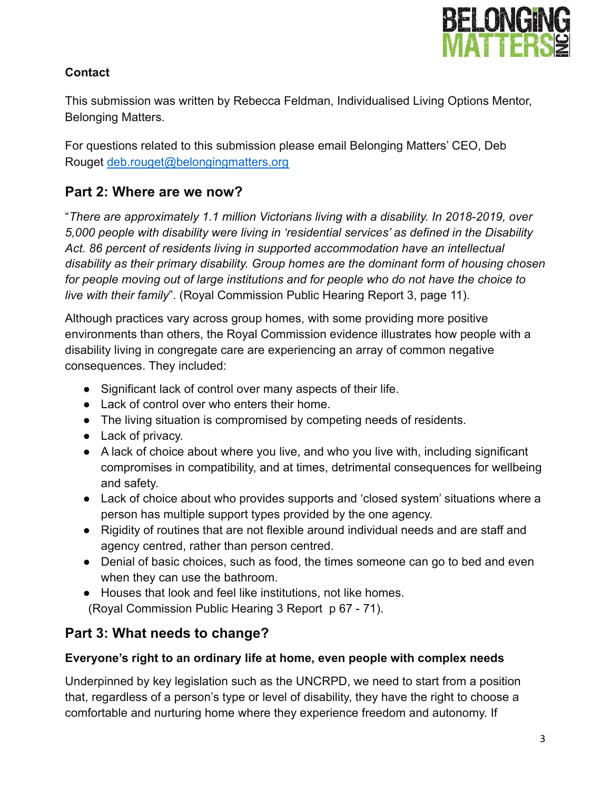

### **Contact**

This submission was written by Rebecca Feldman, Individualised Living Options Mentor, Belonging Matters.

For questions related to this submission please email Belonging Matters' CEO, Deb Rouget [deb.rouget@belongingmatters.org](mailto:deb.rouget@belongingmatters.org)

## **Part 2: Where are we now?**

"*There are approximately 1.1 million Victorians living with a disability. In 2018-2019, over 5,000 people with disability were living in 'residential services' as defined in the Disability Act. 86 percent of residents living in supported accommodation have an intellectual disability as their primary disability. Group homes are the dominant form of housing chosen for people moving out of large institutions and for people who do not have the choice to live with their family*". (Royal Commission Public Hearing Report 3, page 11).

Although practices vary across group homes, with some providing more positive environments than others, the Royal Commission evidence illustrates how people with a disability living in congregate care are experiencing an array of common negative consequences. They included:

- Significant lack of control over many aspects of their life.
- Lack of control over who enters their home.
- The living situation is compromised by competing needs of residents.
- Lack of privacy.
- A lack of choice about where you live, and who you live with, including significant compromises in compatibility, and at times, detrimental consequences for wellbeing and safety.
- Lack of choice about who provides supports and 'closed system' situations where a person has multiple support types provided by the one agency.
- Rigidity of routines that are not flexible around individual needs and are staff and agency centred, rather than person centred.
- Denial of basic choices, such as food, the times someone can go to bed and even when they can use the bathroom.
- Houses that look and feel like institutions, not like homes. (Royal Commission Public Hearing 3 Report p 67 - 71).

## **Part 3: What needs to change?**

### **Everyone's right to an ordinary life at home, even people with complex needs**

Underpinned by key legislation such as the UNCRPD, we need to start from a position that, regardless of a person's type or level of disability, they have the right to choose a comfortable and nurturing home where they experience freedom and autonomy. If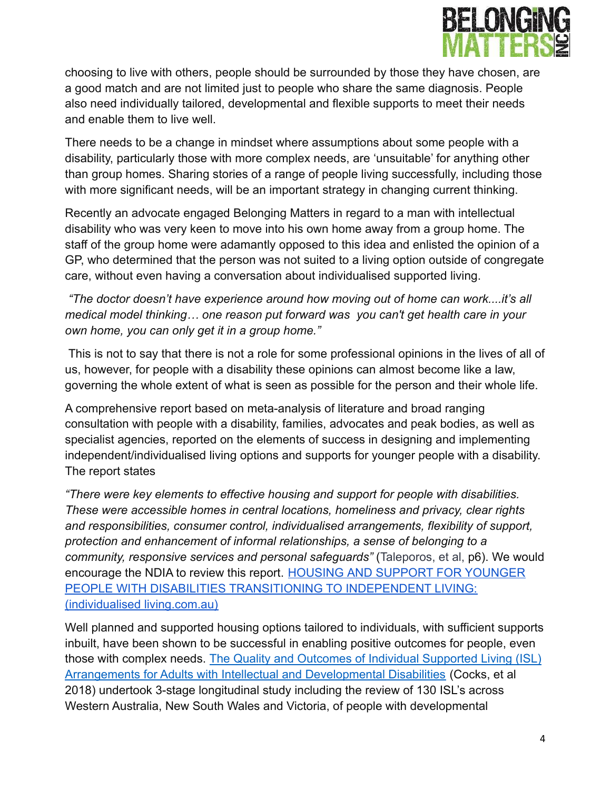

choosing to live with others, people should be surrounded by those they have chosen, are a good match and are not limited just to people who share the same diagnosis. People also need individually tailored, developmental and flexible supports to meet their needs and enable them to live well.

There needs to be a change in mindset where assumptions about some people with a disability, particularly those with more complex needs, are 'unsuitable' for anything other than group homes. Sharing stories of a range of people living successfully, including those with more significant needs, will be an important strategy in changing current thinking.

Recently an advocate engaged Belonging Matters in regard to a man with intellectual disability who was very keen to move into his own home away from a group home. The staff of the group home were adamantly opposed to this idea and enlisted the opinion of a GP, who determined that the person was not suited to a living option outside of congregate care, without even having a conversation about individualised supported living.

*"The doctor doesn't have experience around how moving out of home can work....it's all medical model thinking… one reason put forward was you can't get health care in your own home, you can only get it in a group home."*

This is not to say that there is not a role for some professional opinions in the lives of all of us, however, for people with a disability these opinions can almost become like a law, governing the whole extent of what is seen as possible for the person and their whole life.

A comprehensive report based on meta-analysis of literature and broad ranging consultation with people with a disability, families, advocates and peak bodies, as well as specialist agencies, reported on the elements of success in designing and implementing independent/individualised living options and supports for younger people with a disability. The report states

*"There were key elements to effective housing and support for people with disabilities. These were accessible homes in central locations, homeliness and privacy, clear rights and responsibilities, consumer control, individualised arrangements, flexibility of support, protection and enhancement of informal relationships, a sense of belonging to a community, responsive services and personal safeguards"* (Taleporos, et al, p6). We would encourage the NDIA to review this report. HOUSING [AND SUPPORT FOR YOUNGER](https://individualisedliving.com.au/wp-content/uploads/sites/3/2020/12/YDAS_PDF_Project-HOUSING-AND-SUPPORT-FOR-YOUNGER-PEOPLE.pdf) [PEOPLE WITH DISABILITIES TRANSITIONING TO INDEPENDENT LIVING:](https://individualisedliving.com.au/wp-content/uploads/sites/3/2020/12/YDAS_PDF_Project-HOUSING-AND-SUPPORT-FOR-YOUNGER-PEOPLE.pdf) [\(individualised living.com.au\)](https://individualisedliving.com.au/wp-content/uploads/sites/3/2020/12/YDAS_PDF_Project-HOUSING-AND-SUPPORT-FOR-YOUNGER-PEOPLE.pdf)

Well planned and supported housing options tailored to individuals, with sufficient supports inbuilt, have been shown to be successful in enabling positive outcomes for people, even those with complex needs. The Quality and Outcomes of Individual Supported Living (ISL) Arrangements for Adults with Intellectual and Developmental Disabilities (Cocks, et al 2018) undertook 3-stage longitudinal study including the review of 130 ISL's across Western Australia, New South Wales and Victoria, of people with developmental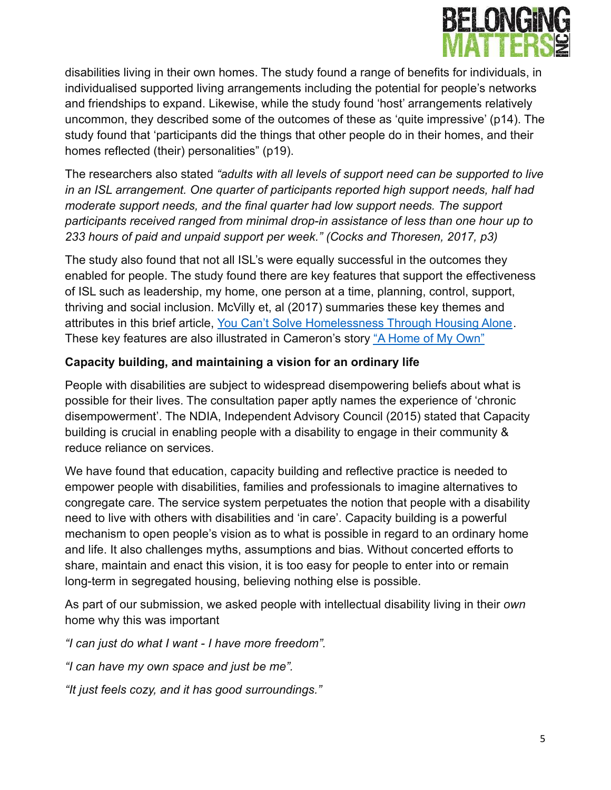

disabilities living in their own homes. The study found a range of benefits for individuals, in individualised supported living arrangements including the potential for people's networks and friendships to expand. Likewise, while the study found 'host' arrangements relatively uncommon, they described some of the outcomes of these as 'quite impressive' (p14). The study found that 'participants did the things that other people do in their homes, and their homes reflected (their) personalities" (p19).

The researchers also stated *"adults with all levels of support need can be supported to live in an ISL arrangement. One quarter of participants reported high support needs, half had moderate support needs, and the final quarter had low support needs. The support participants received ranged from minimal drop-in assistance of less than one hour up to 233 hours of paid and unpaid support per week." (Cocks and Thoresen, 2017, p3)*

The study also found that not all ISL's were equally successful in the outcomes they enabled for people. The study found there are key features that support the effectiveness of ISL such as leadership, my home, one person at a time, planning, control, support, thriving and social inclusion. McVilly et, al (2017) summaries these key themes and attributes in this brief article, You Can't Solve [Homelessness Through Housing Alone](https://12fa360f-fae0-657a-c249-b252f0f4108a.filesusr.com/ugd/c77aca_0eae2b2fc67244fa8e31625f8d26c575.pdf). These key features are also illustrated in Cameron's story ["A Home of My Own"](https://12fa360f-fae0-657a-c249-b252f0f4108a.filesusr.com/ugd/c77aca_a15351a7693749ab85f75cf33f3040ee.pdf)

### **Capacity building, and maintaining a vision for an ordinary life**

People with disabilities are subject to widespread disempowering beliefs about what is possible for their lives. The consultation paper aptly names the experience of 'chronic disempowerment'. The NDIA, Independent Advisory Council (2015) stated that Capacity building is crucial in enabling people with a disability to engage in their community & reduce reliance on services.

We have found that education, capacity building and reflective practice is needed to empower people with disabilities, families and professionals to imagine alternatives to congregate care. The service system perpetuates the notion that people with a disability need to live with others with disabilities and 'in care'. Capacity building is a powerful mechanism to open people's vision as to what is possible in regard to an ordinary home and life. It also challenges myths, assumptions and bias. Without concerted efforts to share, maintain and enact this vision, it is too easy for people to enter into or remain long-term in segregated housing, believing nothing else is possible.

As part of our submission, we asked people with intellectual disability living in their *own* home why this was important

*"I can just do what I want - I have more freedom".*

*"I can have my own space and just be me".*

*"It just feels cozy, and it has good surroundings."*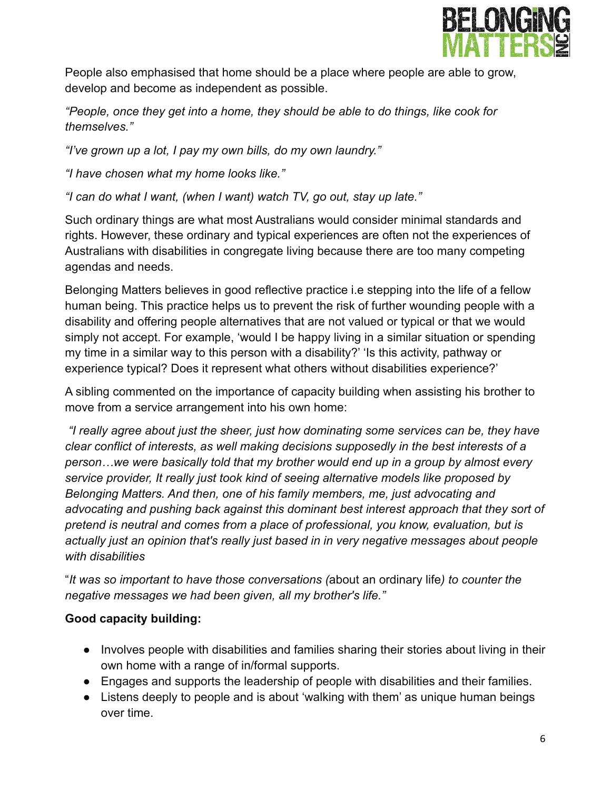

People also emphasised that home should be a place where people are able to grow, develop and become as independent as possible.

*"People, once they get into a home, they should be able to do things, like cook for themselves."*

*"I've grown up a lot, I pay my own bills, do my own laundry."*

*"I have chosen what my home looks like."*

*"I can do what I want, (when I want) watch TV, go out, stay up late."*

Such ordinary things are what most Australians would consider minimal standards and rights. However, these ordinary and typical experiences are often not the experiences of Australians with disabilities in congregate living because there are too many competing agendas and needs.

Belonging Matters believes in good reflective practice i.e stepping into the life of a fellow human being. This practice helps us to prevent the risk of further wounding people with a disability and offering people alternatives that are not valued or typical or that we would simply not accept. For example, 'would I be happy living in a similar situation or spending my time in a similar way to this person with a disability?' 'Is this activity, pathway or experience typical? Does it represent what others without disabilities experience?'

A sibling commented on the importance of capacity building when assisting his brother to move from a service arrangement into his own home:

*"I really agree about just the sheer, just how dominating some services can be, they have clear conflict of interests, as well making decisions supposedly in the best interests of a person…we were basically told that my brother would end up in a group by almost every service provider, It really just took kind of seeing alternative models like proposed by Belonging Matters. And then, one of his family members, me, just advocating and advocating and pushing back against this dominant best interest approach that they sort of pretend is neutral and comes from a place of professional, you know, evaluation, but is actually just an opinion that's really just based in in very negative messages about people with disabilities*

"*It was so important to have those conversations (*about an ordinary life*) to counter the negative messages we had been given, all my brother's life."*

### **Good capacity building:**

- Involves people with disabilities and families sharing their stories about living in their own home with a range of in/formal supports.
- Engages and supports the leadership of people with disabilities and their families.
- Listens deeply to people and is about 'walking with them' as unique human beings over time.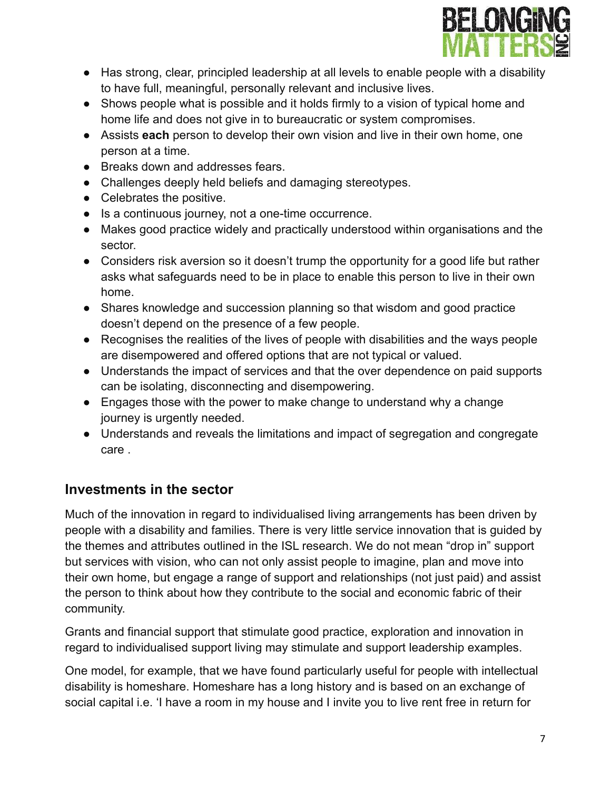

- Has strong, clear, principled leadership at all levels to enable people with a disability to have full, meaningful, personally relevant and inclusive lives.
- Shows people what is possible and it holds firmly to a vision of typical home and home life and does not give in to bureaucratic or system compromises.
- Assists **each** person to develop their own vision and live in their own home, one person at a time.
- Breaks down and addresses fears.
- Challenges deeply held beliefs and damaging stereotypes.
- Celebrates the positive.
- Is a continuous journey, not a one-time occurrence.
- Makes good practice widely and practically understood within organisations and the sector.
- Considers risk aversion so it doesn't trump the opportunity for a good life but rather asks what safeguards need to be in place to enable this person to live in their own home.
- Shares knowledge and succession planning so that wisdom and good practice doesn't depend on the presence of a few people.
- Recognises the realities of the lives of people with disabilities and the ways people are disempowered and offered options that are not typical or valued.
- Understands the impact of services and that the over dependence on paid supports can be isolating, disconnecting and disempowering.
- Engages those with the power to make change to understand why a change journey is urgently needed.
- Understands and reveals the limitations and impact of segregation and congregate care .

## **Investments in the sector**

Much of the innovation in regard to individualised living arrangements has been driven by people with a disability and families. There is very little service innovation that is guided by the themes and attributes outlined in the ISL research. We do not mean "drop in" support but services with vision, who can not only assist people to imagine, plan and move into their own home, but engage a range of support and relationships (not just paid) and assist the person to think about how they contribute to the social and economic fabric of their community.

Grants and financial support that stimulate good practice, exploration and innovation in regard to individualised support living may stimulate and support leadership examples.

One model, for example, that we have found particularly useful for people with intellectual disability is homeshare. Homeshare has a long history and is based on an exchange of social capital i.e. 'I have a room in my house and I invite you to live rent free in return for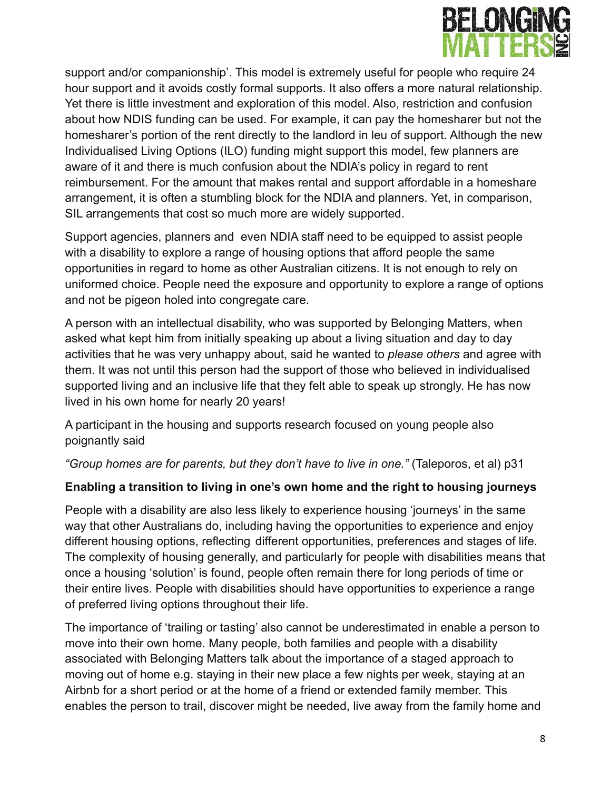

support and/or companionship'. This model is extremely useful for people who require 24 hour support and it avoids costly formal supports. It also offers a more natural relationship. Yet there is little investment and exploration of this model. Also, restriction and confusion about how NDIS funding can be used. For example, it can pay the homesharer but not the homesharer's portion of the rent directly to the landlord in leu of support. Although the new Individualised Living Options (ILO) funding might support this model, few planners are aware of it and there is much confusion about the NDIA's policy in regard to rent reimbursement. For the amount that makes rental and support affordable in a homeshare arrangement, it is often a stumbling block for the NDIA and planners. Yet, in comparison, SIL arrangements that cost so much more are widely supported.

Support agencies, planners and even NDIA staff need to be equipped to assist people with a disability to explore a range of housing options that afford people the same opportunities in regard to home as other Australian citizens. It is not enough to rely on uniformed choice. People need the exposure and opportunity to explore a range of options and not be pigeon holed into congregate care.

A person with an intellectual disability, who was supported by Belonging Matters, when asked what kept him from initially speaking up about a living situation and day to day activities that he was very unhappy about, said he wanted to *please others* and agree with them. It was not until this person had the support of those who believed in individualised supported living and an inclusive life that they felt able to speak up strongly. He has now lived in his own home for nearly 20 years!

A participant in the housing and supports research focused on young people also poignantly said

*"Group homes are for parents, but they don't have to live in one."* (Taleporos, et al) p31

### **Enabling a transition to living in one's own home and the right to housing journeys**

People with a disability are also less likely to experience housing 'journeys' in the same way that other Australians do, including having the opportunities to experience and enjoy different housing options, reflecting different opportunities, preferences and stages of life. The complexity of housing generally, and particularly for people with disabilities means that once a housing 'solution' is found, people often remain there for long periods of time or their entire lives. People with disabilities should have opportunities to experience a range of preferred living options throughout their life.

The importance of 'trailing or tasting' also cannot be underestimated in enable a person to move into their own home. Many people, both families and people with a disability associated with Belonging Matters talk about the importance of a staged approach to moving out of home e.g. staying in their new place a few nights per week, staying at an Airbnb for a short period or at the home of a friend or extended family member. This enables the person to trail, discover might be needed, live away from the family home and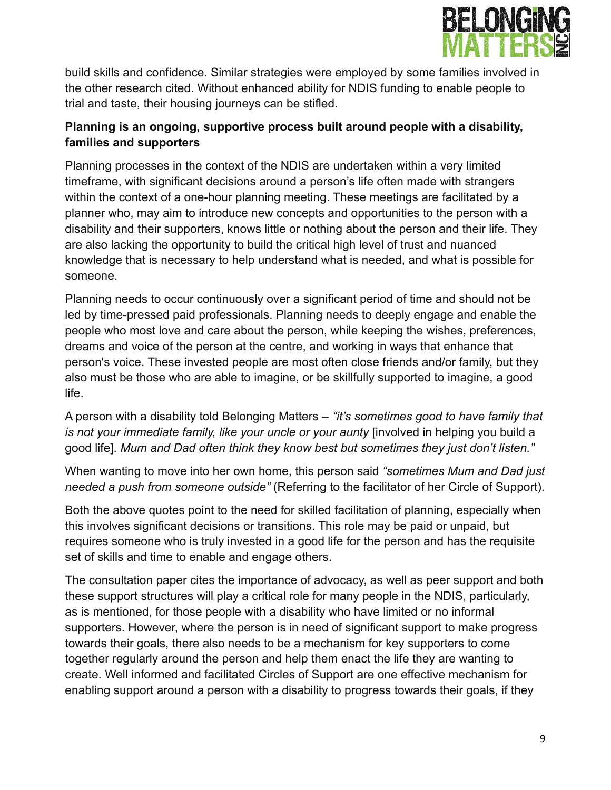

build skills and confidence. Similar strategies were employed by some families involved in the other research cited. Without enhanced ability for NDIS funding to enable people to trial and taste, their housing journeys can be stifled.

### **Planning is an ongoing, supportive process built around people with a disability, families and supporters**

Planning processes in the context of the NDIS are undertaken within a very limited timeframe, with significant decisions around a person's life often made with strangers within the context of a one-hour planning meeting. These meetings are facilitated by a planner who, may aim to introduce new concepts and opportunities to the person with a disability and their supporters, knows little or nothing about the person and their life. They are also lacking the opportunity to build the critical high level of trust and nuanced knowledge that is necessary to help understand what is needed, and what is possible for someone.

Planning needs to occur continuously over a significant period of time and should not be led by time-pressed paid professionals. Planning needs to deeply engage and enable the people who most love and care about the person, while keeping the wishes, preferences, dreams and voice of the person at the centre, and working in ways that enhance that person's voice. These invested people are most often close friends and/or family, but they also must be those who are able to imagine, or be skillfully supported to imagine, a good life.

A person with a disability told Belonging Matters – *"it's sometimes good to have family that is not your immediate family, like your uncle or your aunty* [involved in helping you build a good life]. *Mum and Dad often think they know best but sometimes they just don't listen."*

When wanting to move into her own home, this person said *"sometimes Mum and Dad just needed a push from someone outside"* (Referring to the facilitator of her Circle of Support).

Both the above quotes point to the need for skilled facilitation of planning, especially when this involves significant decisions or transitions. This role may be paid or unpaid, but requires someone who is truly invested in a good life for the person and has the requisite set of skills and time to enable and engage others.

The consultation paper cites the importance of advocacy, as well as peer support and both these support structures will play a critical role for many people in the NDIS, particularly, as is mentioned, for those people with a disability who have limited or no informal supporters. However, where the person is in need of significant support to make progress towards their goals, there also needs to be a mechanism for key supporters to come together regularly around the person and help them enact the life they are wanting to create. Well informed and facilitated Circles of Support are one effective mechanism for enabling support around a person with a disability to progress towards their goals, if they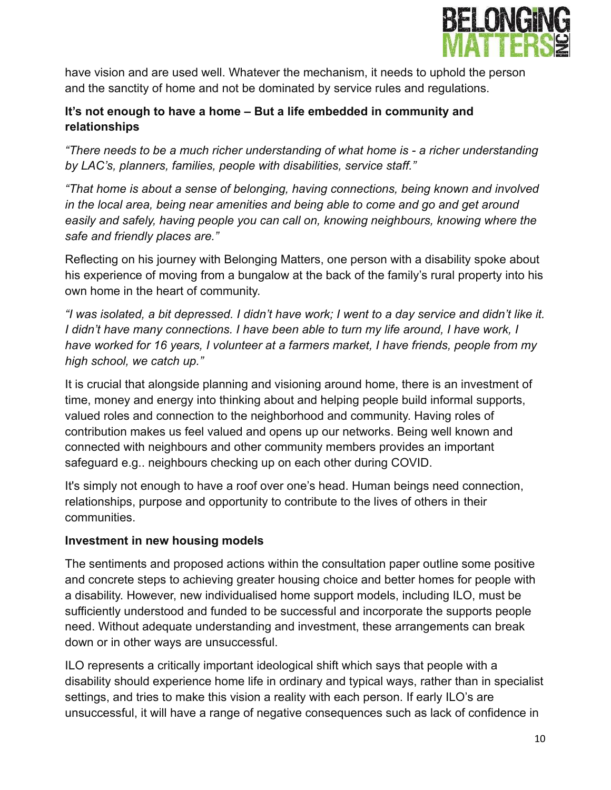

have vision and are used well. Whatever the mechanism, it needs to uphold the person and the sanctity of home and not be dominated by service rules and regulations.

### **It's not enough to have a home – But a life embedded in community and relationships**

*"There needs to be a much richer understanding of what home is - a richer understanding by LAC's, planners, families, people with disabilities, service staff."*

*"That home is about a sense of belonging, having connections, being known and involved in the local area, being near amenities and being able to come and go and get around easily and safely, having people you can call on, knowing neighbours, knowing where the safe and friendly places are."*

Reflecting on his journey with Belonging Matters, one person with a disability spoke about his experience of moving from a bungalow at the back of the family's rural property into his own home in the heart of community.

*"I was isolated, a bit depressed. I didn't have work; I went to a day service and didn't like it. I didn't have many connections. I have been able to turn my life around, I have work, I have worked for 16 years, I volunteer at a farmers market, I have friends, people from my high school, we catch up."*

It is crucial that alongside planning and visioning around home, there is an investment of time, money and energy into thinking about and helping people build informal supports, valued roles and connection to the neighborhood and community. Having roles of contribution makes us feel valued and opens up our networks. Being well known and connected with neighbours and other community members provides an important safeguard e.g.. neighbours checking up on each other during COVID.

It's simply not enough to have a roof over one's head. Human beings need connection, relationships, purpose and opportunity to contribute to the lives of others in their communities.

### **Investment in new housing models**

The sentiments and proposed actions within the consultation paper outline some positive and concrete steps to achieving greater housing choice and better homes for people with a disability. However, new individualised home support models, including ILO, must be sufficiently understood and funded to be successful and incorporate the supports people need. Without adequate understanding and investment, these arrangements can break down or in other ways are unsuccessful.

ILO represents a critically important ideological shift which says that people with a disability should experience home life in ordinary and typical ways, rather than in specialist settings, and tries to make this vision a reality with each person. If early ILO's are unsuccessful, it will have a range of negative consequences such as lack of confidence in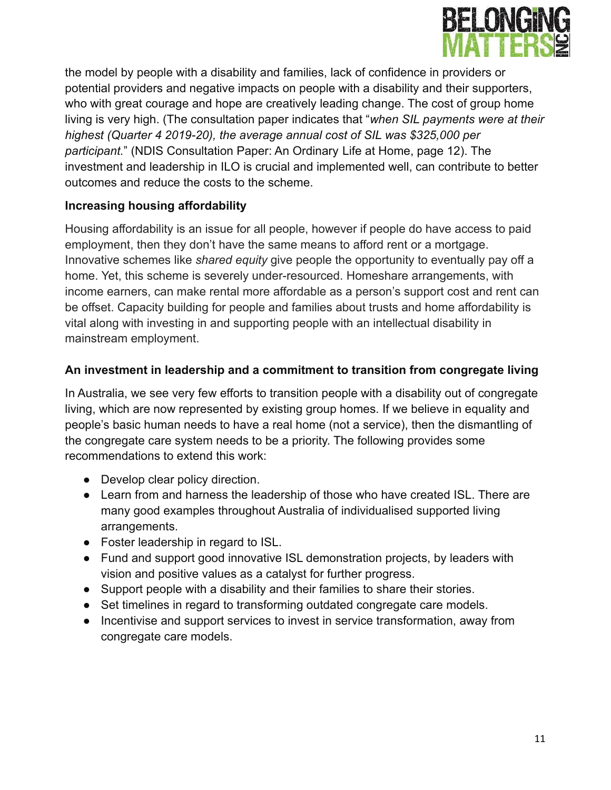

the model by people with a disability and families, lack of confidence in providers or potential providers and negative impacts on people with a disability and their supporters, who with great courage and hope are creatively leading change. The cost of group home living is very high. (The consultation paper indicates that "*when SIL payments were at their highest (Quarter 4 2019-20), the average annual cost of SIL was \$325,000 per participant.*" (NDIS Consultation Paper: An Ordinary Life at Home, page 12). The investment and leadership in ILO is crucial and implemented well, can contribute to better outcomes and reduce the costs to the scheme.

### **Increasing housing affordability**

Housing affordability is an issue for all people, however if people do have access to paid employment, then they don't have the same means to afford rent or a mortgage. Innovative schemes like *shared equity* give people the opportunity to eventually pay off a home. Yet, this scheme is severely under-resourced. Homeshare arrangements, with income earners, can make rental more affordable as a person's support cost and rent can be offset. Capacity building for people and families about trusts and home affordability is vital along with investing in and supporting people with an intellectual disability in mainstream employment.

### **An investment in leadership and a commitment to transition from congregate living**

In Australia, we see very few efforts to transition people with a disability out of congregate living, which are now represented by existing group homes. If we believe in equality and people's basic human needs to have a real home (not a service), then the dismantling of the congregate care system needs to be a priority. The following provides some recommendations to extend this work:

- Develop clear policy direction.
- Learn from and harness the leadership of those who have created ISL. There are many good examples throughout Australia of individualised supported living arrangements.
- Foster leadership in regard to ISL.
- Fund and support good innovative ISL demonstration projects, by leaders with vision and positive values as a catalyst for further progress.
- Support people with a disability and their families to share their stories.
- **●** Set timelines in regard to transforming outdated congregate care models.
- Incentivise and support services to invest in service transformation, away from congregate care models.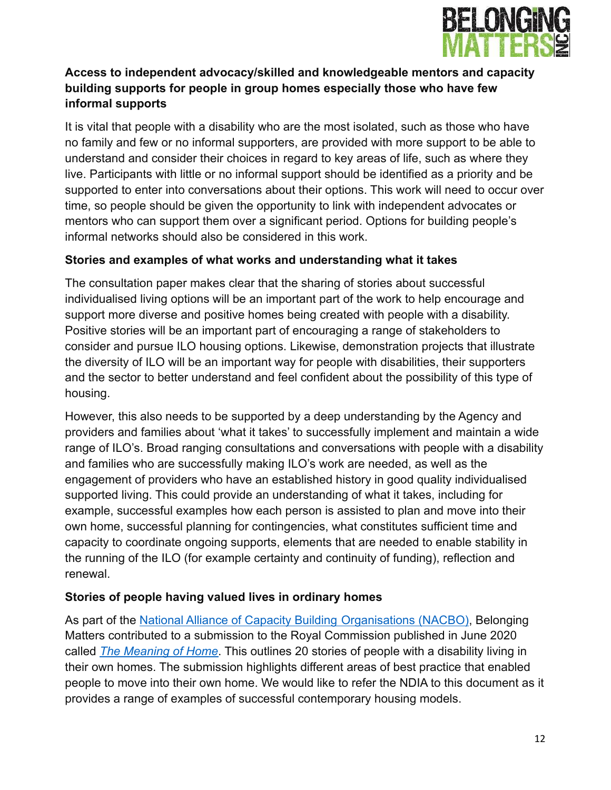

### **Access to independent advocacy/skilled and knowledgeable mentors and capacity building supports for people in group homes especially those who have few informal supports**

It is vital that people with a disability who are the most isolated, such as those who have no family and few or no informal supporters, are provided with more support to be able to understand and consider their choices in regard to key areas of life, such as where they live. Participants with little or no informal support should be identified as a priority and be supported to enter into conversations about their options. This work will need to occur over time, so people should be given the opportunity to link with independent advocates or mentors who can support them over a significant period. Options for building people's informal networks should also be considered in this work.

### **Stories and examples of what works and understanding what it takes**

The consultation paper makes clear that the sharing of stories about successful individualised living options will be an important part of the work to help encourage and support more diverse and positive homes being created with people with a disability. Positive stories will be an important part of encouraging a range of stakeholders to consider and pursue ILO housing options. Likewise, demonstration projects that illustrate the diversity of ILO will be an important way for people with disabilities, their supporters and the sector to better understand and feel confident about the possibility of this type of housing.

However, this also needs to be supported by a deep understanding by the Agency and providers and families about 'what it takes' to successfully implement and maintain a wide range of ILO's. Broad ranging consultations and conversations with people with a disability and families who are successfully making ILO's work are needed, as well as the engagement of providers who have an established history in good quality individualised supported living. This could provide an understanding of what it takes, including for example, successful examples how each person is assisted to plan and move into their own home, successful planning for contingencies, what constitutes sufficient time and capacity to coordinate ongoing supports, elements that are needed to enable stability in the running of the ILO (for example certainty and continuity of funding), reflection and renewal.

### **Stories of people having valued lives in ordinary homes**

As part of the [National Alliance of Capacity Building](https://www.nacbo.org.au/) Organisations (NACBO), Belonging Matters contributed to a submission to the Royal Commission published in June 2020 called *[The Meaning of Home](https://static1.squarespace.com/static/5bf36a1870e80242b101f6f8/t/5f640ff0ab0bc632f07ec3cd/1600393208750/NACBO+DRC+Meaning+of+Home+20+Stories+Sept20.pdf)*. This outlines 20 stories of people with a disability living in their own homes. The submission highlights different areas of best practice that enabled people to move into their own home. We would like to refer the NDIA to this document as it provides a range of examples of successful contemporary housing models.